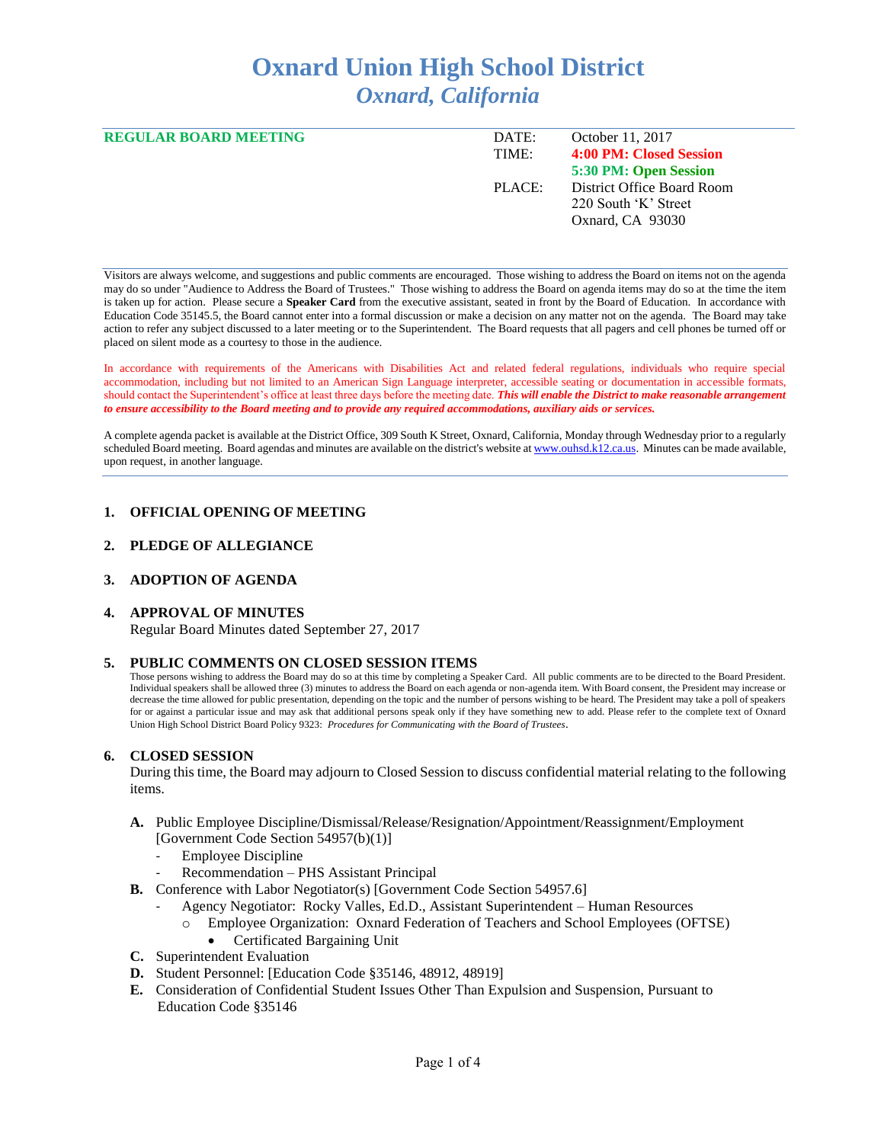# **Oxnard Union High School District** *Oxnard, California*

| <b>REGULAR BOARD MEETING</b> | DATE:  | October 11, 2017           |
|------------------------------|--------|----------------------------|
|                              | TIME:  | 4:00 PM: Closed Session    |
|                              |        | 5:30 PM: Open Session      |
|                              | PLACE: | District Office Board Room |
|                              |        | 220 South 'K' Street       |
|                              |        | Oxnard, CA 93030           |
|                              |        |                            |

Visitors are always welcome, and suggestions and public comments are encouraged. Those wishing to address the Board on items not on the agenda may do so under "Audience to Address the Board of Trustees." Those wishing to address the Board on agenda items may do so at the time the item is taken up for action. Please secure a **Speaker Card** from the executive assistant, seated in front by the Board of Education. In accordance with Education Code 35145.5, the Board cannot enter into a formal discussion or make a decision on any matter not on the agenda. The Board may take action to refer any subject discussed to a later meeting or to the Superintendent. The Board requests that all pagers and cell phones be turned off or placed on silent mode as a courtesy to those in the audience.

In accordance with requirements of the Americans with Disabilities Act and related federal regulations, individuals who require special accommodation, including but not limited to an American Sign Language interpreter, accessible seating or documentation in accessible formats, should contact the Superintendent's office at least three days before the meeting date. *This will enable the District to make reasonable arrangement to ensure accessibility to the Board meeting and to provide any required accommodations, auxiliary aids or services.* 

A complete agenda packet is available at the District Office, 309 South K Street, Oxnard, California, Monday through Wednesday prior to a regularly scheduled Board meeting. Board agendas and minutes are available on the district's website a[t www.ouhsd.k12.ca.us.](http://www.ouhsd.k12.ca.us/)Minutes can be made available, upon request, in another language.

## **1. OFFICIAL OPENING OF MEETING**

#### **2. PLEDGE OF ALLEGIANCE**

# **3. ADOPTION OF AGENDA**

#### **4. APPROVAL OF MINUTES**

Regular Board Minutes dated September 27, 2017

#### **5. PUBLIC COMMENTS ON CLOSED SESSION ITEMS**

Those persons wishing to address the Board may do so at this time by completing a Speaker Card. All public comments are to be directed to the Board President. Individual speakers shall be allowed three (3) minutes to address the Board on each agenda or non-agenda item. With Board consent, the President may increase or decrease the time allowed for public presentation, depending on the topic and the number of persons wishing to be heard. The President may take a poll of speakers for or against a particular issue and may ask that additional persons speak only if they have something new to add. Please refer to the complete text of Oxnard Union High School District Board Policy 9323: *Procedures for Communicating with the Board of Trustees*.

#### **6. CLOSED SESSION**

During this time, the Board may adjourn to Closed Session to discuss confidential material relating to the following items.

- **A.** Public Employee Discipline/Dismissal/Release/Resignation/Appointment/Reassignment/Employment [Government Code Section 54957(b)(1)]
	- Employee Discipline
	- Recommendation PHS Assistant Principal
- **B.** Conference with Labor Negotiator(s) [Government Code Section 54957.6]
	- Agency Negotiator: Rocky Valles, Ed.D., Assistant Superintendent Human Resources
	- o Employee Organization: Oxnard Federation of Teachers and School Employees (OFTSE)
		- Certificated Bargaining Unit
- **C.** Superintendent Evaluation
- **D.** Student Personnel: [Education Code §35146, 48912, 48919]
- **E.** Consideration of Confidential Student Issues Other Than Expulsion and Suspension, Pursuant to Education Code §35146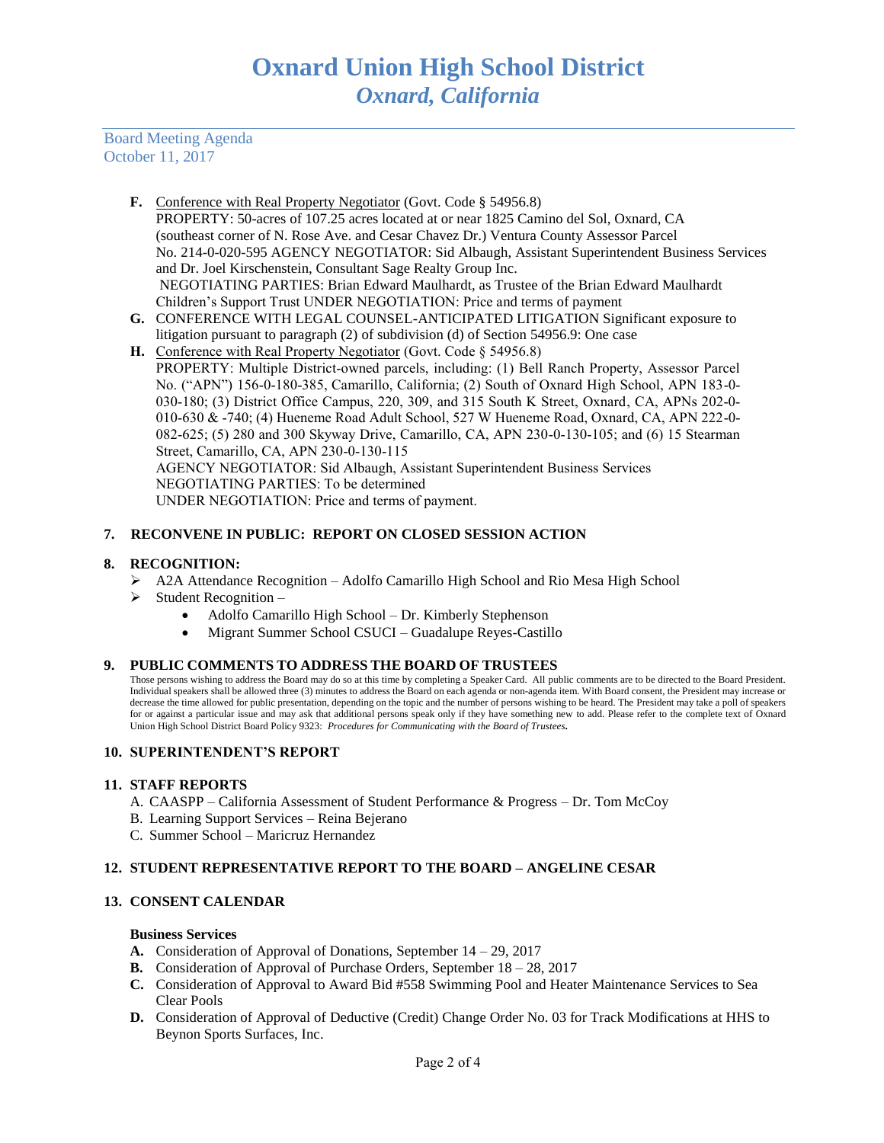Board Meeting Agenda October 11, 2017

- **F.** Conference with Real Property Negotiator (Govt. Code § 54956.8) PROPERTY: 50-acres of 107.25 acres located at or near 1825 Camino del Sol, Oxnard, CA (southeast corner of N. Rose Ave. and Cesar Chavez Dr.) Ventura County Assessor Parcel No. 214-0-020-595 AGENCY NEGOTIATOR: Sid Albaugh, Assistant Superintendent Business Services and Dr. Joel Kirschenstein, Consultant Sage Realty Group Inc. NEGOTIATING PARTIES: Brian Edward Maulhardt, as Trustee of the Brian Edward Maulhardt Children's Support Trust UNDER NEGOTIATION: Price and terms of payment
- **G.** CONFERENCE WITH LEGAL COUNSEL-ANTICIPATED LITIGATION Significant exposure to litigation pursuant to paragraph (2) of subdivision (d) of Section 54956.9: One case
- H. Conference with Real Property Negotiator (Govt. Code § 54956.8) PROPERTY: Multiple District-owned parcels, including: (1) Bell Ranch Property, Assessor Parcel No. ("APN") 156-0-180-385, Camarillo, California; (2) South of Oxnard High School, APN 183-0- 030-180; (3) District Office Campus, 220, 309, and 315 South K Street, Oxnard, CA, APNs 202-0- 010-630 & -740; (4) Hueneme Road Adult School, 527 W Hueneme Road, Oxnard, CA, APN 222-0- 082-625; (5) 280 and 300 Skyway Drive, Camarillo, CA, APN 230-0-130-105; and (6) 15 Stearman Street, Camarillo, CA, APN 230-0-130-115 AGENCY NEGOTIATOR: Sid Albaugh, Assistant Superintendent Business Services NEGOTIATING PARTIES: To be determined UNDER NEGOTIATION: Price and terms of payment.

# **7. RECONVENE IN PUBLIC: REPORT ON CLOSED SESSION ACTION**

## **8. RECOGNITION:**

- ➢ A2A Attendance Recognition Adolfo Camarillo High School and Rio Mesa High School
- $\triangleright$  Student Recognition
	- Adolfo Camarillo High School Dr. Kimberly Stephenson
	- Migrant Summer School CSUCI Guadalupe Reyes-Castillo

## **9. PUBLIC COMMENTS TO ADDRESS THE BOARD OF TRUSTEES**

Those persons wishing to address the Board may do so at this time by completing a Speaker Card. All public comments are to be directed to the Board President. Individual speakers shall be allowed three (3) minutes to address the Board on each agenda or non-agenda item. With Board consent, the President may increase or decrease the time allowed for public presentation, depending on the topic and the number of persons wishing to be heard. The President may take a poll of speakers for or against a particular issue and may ask that additional persons speak only if they have something new to add. Please refer to the complete text of Oxnard Union High School District Board Policy 9323: *Procedures for Communicating with the Board of Trustees.*

## **10. SUPERINTENDENT'S REPORT**

## **11. STAFF REPORTS**

- A. CAASPP California Assessment of Student Performance & Progress Dr. Tom McCoy
- B. Learning Support Services Reina Bejerano
- C. Summer School Maricruz Hernandez

# **12. STUDENT REPRESENTATIVE REPORT TO THE BOARD – ANGELINE CESAR**

# **13. CONSENT CALENDAR**

#### **Business Services**

- **A.** Consideration of Approval of Donations, September 14 29, 2017
- **B.** Consideration of Approval of Purchase Orders, September 18 28, 2017
- **C.** Consideration of Approval to Award Bid #558 Swimming Pool and Heater Maintenance Services to Sea Clear Pools
- **D.** Consideration of Approval of Deductive (Credit) Change Order No. 03 for Track Modifications at HHS to Beynon Sports Surfaces, Inc.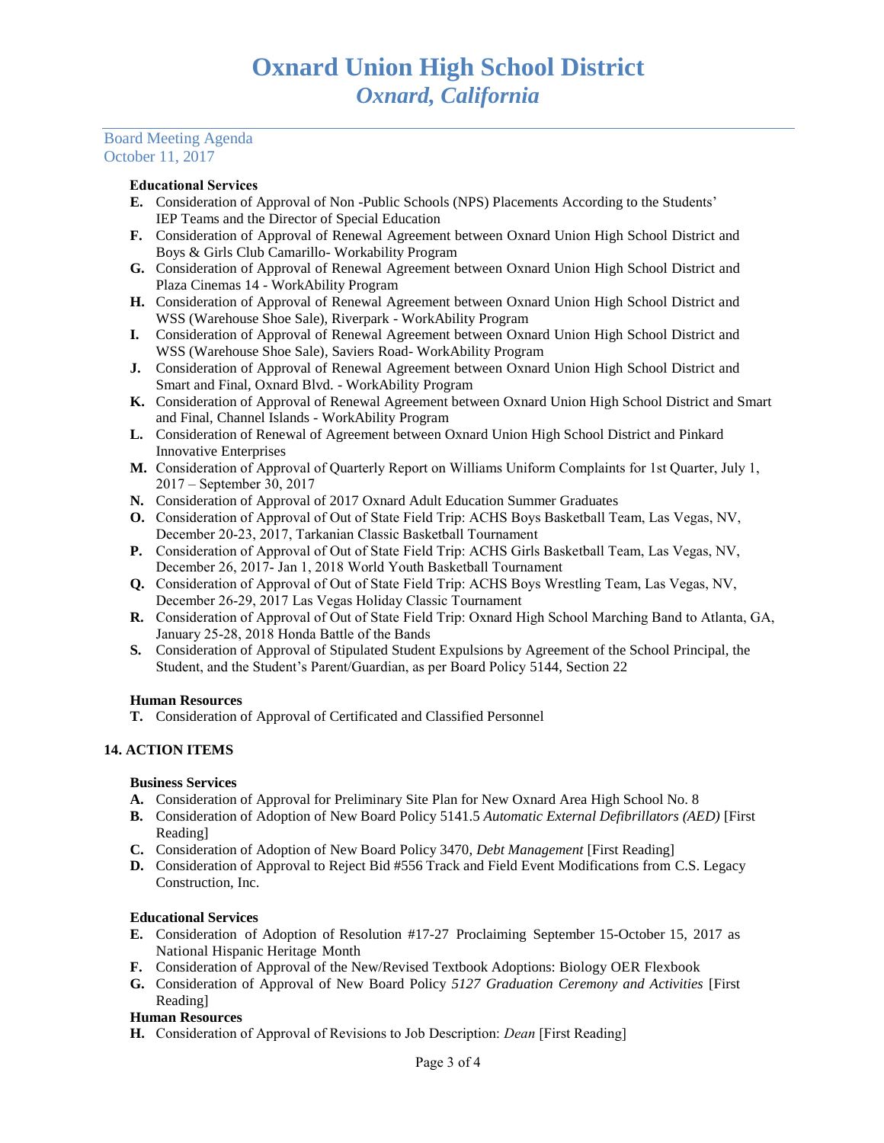### Board Meeting Agenda October 11, 2017

### Educational Services

- **E.** Consideration of Approval of Non -Public Schools (NPS) Placements According to the Students' IEP Teams and the Director of Special Education
- **F.** Consideration of Approval of Renewal Agreement between Oxnard Union High School District and Boys & Girls Club Camarillo- Workability Program
- **G.** Consideration of Approval of Renewal Agreement between Oxnard Union High School District and Plaza Cinemas 14 - WorkAbility Program
- **H.** Consideration of Approval of Renewal Agreement between Oxnard Union High School District and WSS (Warehouse Shoe Sale), Riverpark - WorkAbility Program
- **I.** Consideration of Approval of Renewal Agreement between Oxnard Union High School District and WSS (Warehouse Shoe Sale), Saviers Road- WorkAbility Program
- **J.** Consideration of Approval of Renewal Agreement between Oxnard Union High School District and Smart and Final, Oxnard Blvd. - WorkAbility Program
- **K.** Consideration of Approval of Renewal Agreement between Oxnard Union High School District and Smart and Final, Channel Islands - WorkAbility Program
- **L.** Consideration of Renewal of Agreement between Oxnard Union High School District and Pinkard Innovative Enterprises
- **M.** Consideration of Approval of Quarterly Report on Williams Uniform Complaints for 1st Quarter, July 1, 2017 – September 30, 2017
- **N.** Consideration of Approval of 2017 Oxnard Adult Education Summer Graduates
- **O.** Consideration of Approval of Out of State Field Trip: ACHS Boys Basketball Team, Las Vegas, NV, December 20-23, 2017, Tarkanian Classic Basketball Tournament
- **P.** Consideration of Approval of Out of State Field Trip: ACHS Girls Basketball Team, Las Vegas, NV, December 26, 2017- Jan 1, 2018 World Youth Basketball Tournament
- **Q.** Consideration of Approval of Out of State Field Trip: ACHS Boys Wrestling Team, Las Vegas, NV, December 26-29, 2017 Las Vegas Holiday Classic Tournament
- **R.** Consideration of Approval of Out of State Field Trip: Oxnard High School Marching Band to Atlanta, GA, January 25-28, 2018 Honda Battle of the Bands
- **S.** Consideration of Approval of Stipulated Student Expulsions by Agreement of the School Principal, the Student, and the Student's Parent/Guardian, as per Board Policy 5144, Section 22

## **Human Resources**

**T.** Consideration of Approval of Certificated and Classified Personnel

## **14. ACTION ITEMS**

## **Business Services**

- **A.** Consideration of Approval for Preliminary Site Plan for New Oxnard Area High School No. 8
- **B.** Consideration of Adoption of New Board Policy 5141.5 *Automatic External Defibrillators (AED)* [First Reading]
- **C.** Consideration of Adoption of New Board Policy 3470, *Debt Management* [First Reading]
- **D.** Consideration of Approval to Reject Bid #556 Track and Field Event Modifications from C.S. Legacy Construction, Inc.

## **Educational Services**

- **E.** Consideration of Adoption of Resolution #17-27 Proclaiming September 15-October 15, 2017 as National Hispanic Heritage Month
- **F.** Consideration of Approval of the New/Revised Textbook Adoptions: Biology OER Flexbook
- **G.** Consideration of Approval of New Board Policy *5127 Graduation Ceremony and Activities* [First Reading]

## **Human Resources**

**H.** Consideration of Approval of Revisions to Job Description: *Dean* [First Reading]